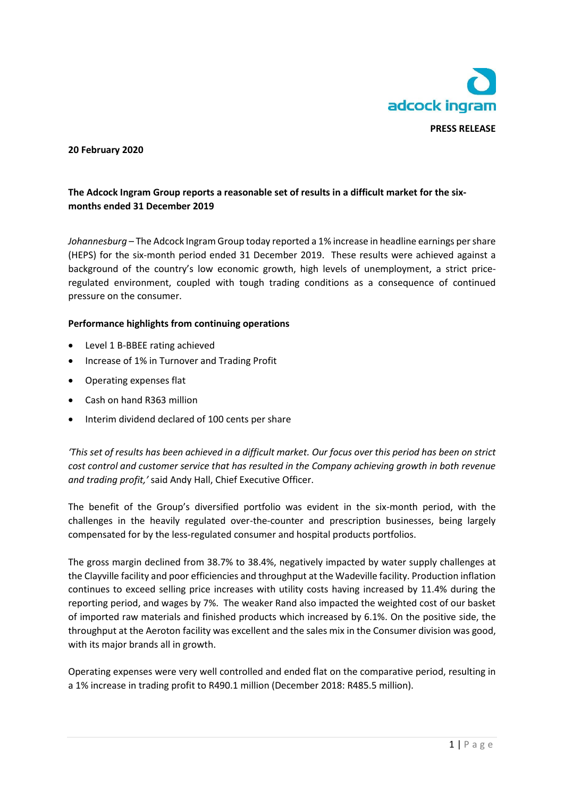

### **20 February 2020**

# **The Adcock Ingram Group reports a reasonable set of results in a difficult market for the sixmonths ended 31 December 2019**

*Johannesburg* – The Adcock Ingram Group today reported a 1% increase in headline earnings per share (HEPS) for the six-month period ended 31 December 2019. These results were achieved against a background of the country's low economic growth, high levels of unemployment, a strict priceregulated environment, coupled with tough trading conditions as a consequence of continued pressure on the consumer.

#### **Performance highlights from continuing operations**

- Level 1 B-BBEE rating achieved
- Increase of 1% in Turnover and Trading Profit
- Operating expenses flat
- Cash on hand R363 million
- Interim dividend declared of 100 cents per share

*'This set of results has been achieved in a difficult market. Our focus over this period has been on strict cost control and customer service that has resulted in the Company achieving growth in both revenue and trading profit,'* said Andy Hall, Chief Executive Officer.

The benefit of the Group's diversified portfolio was evident in the six-month period, with the challenges in the heavily regulated over-the-counter and prescription businesses, being largely compensated for by the less-regulated consumer and hospital products portfolios.

The gross margin declined from 38.7% to 38.4%, negatively impacted by water supply challenges at the Clayville facility and poor efficiencies and throughput at the Wadeville facility. Production inflation continues to exceed selling price increases with utility costs having increased by 11.4% during the reporting period, and wages by 7%. The weaker Rand also impacted the weighted cost of our basket of imported raw materials and finished products which increased by 6.1%. On the positive side, the throughput at the Aeroton facility was excellent and the sales mix in the Consumer division was good, with its major brands all in growth.

Operating expenses were very well controlled and ended flat on the comparative period, resulting in a 1% increase in trading profit to R490.1 million (December 2018: R485.5 million).